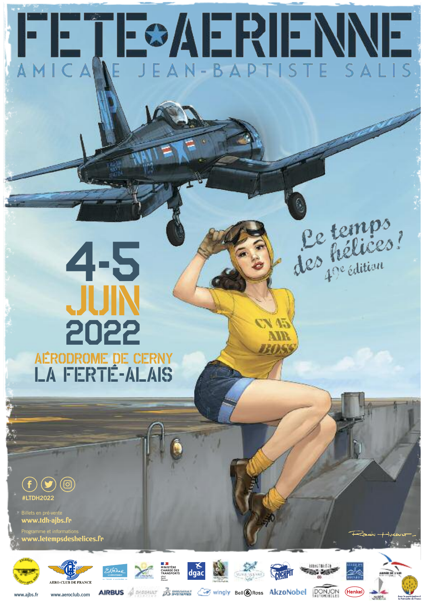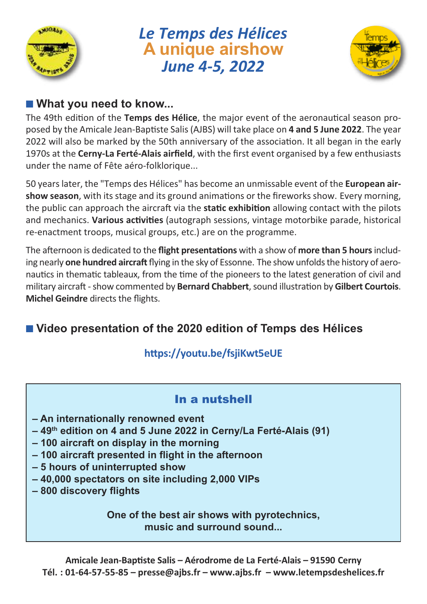

# *Le Temps des Hélices* **A unique airshow** *June 4-5, 2022*



#### ■ **What you need to know...**

The 49th edition of the **Temps des Hélice**, the major event of the aeronautical season proposed by the Amicale Jean-Baptiste Salis(AJBS) will take place on **4 and 5 June 2022**. The year 2022 will also be marked by the 50th anniversary of the association. It all began in the early 1970s at the **Cerny-La Ferté-Alais airfield**, with the first event organised by a few enthusiasts under the name of Fête aéro-folklorique...

50 yearslater, the "Temps des Hélices" has become an unmissable event of the **European airshow season**, with its stage and its ground animations or the fireworks show. Every morning, the public can approach the aircraft via the **static exhibition** allowing contact with the pilots and mechanics. **Various activities** (autograph sessions, vintage motorbike parade, historical re-enactment troops, musical groups, etc.) are on the programme.

The afternoon is dedicated to the **flight presentations** with a show of **more than 5 hours**including nearly **one hundred aircraft**flying in the sky of Essonne. The show unfoldsthe history of aeronautics in thematic tableaux, from the time of the pioneers to the latest generation of civil and military aircraft -show commented by **Bernard Chabbert**,sound illustration by **Gilbert Courtois**. **Michel Geindre** directs the flights.

# ■ **Video** presentation of the 2020 edition of Temps des Hélices

#### **https://youtu.be/fsjiKwt5eUE**

#### In a nutshell

- **– An internationally renowned event**
- **– 49th edition on 4 and 5 June 2022 in Cerny/La Ferté-Alais (91)**
- **– 100 aircraft on display in the morning**
- **– 100 aircraft presented in flight in the afternoon**
- **– 5 hours of uninterrupted show**
- **– 40,000 spectators on site including 2,000 VIPs**
- **– 800 discovery flights**

**One of the best air shows with pyrotechnics, music and surround sound...**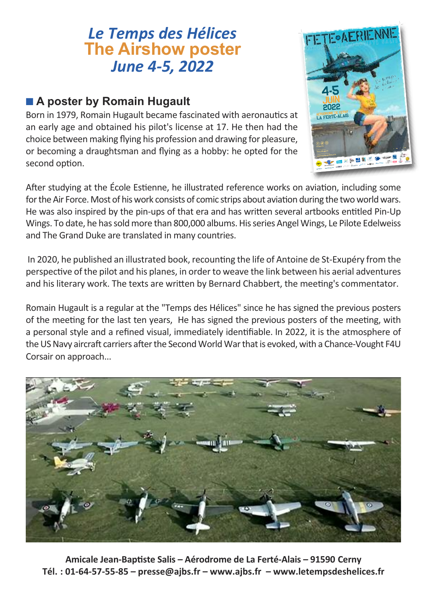# *Le Temps des Hélices* **The Airshow poster** *June 4-5, 2022*

#### ■ **A** poster by Romain Hugault

Born in 1979, Romain Hugault became fascinated with aeronautics at an early age and obtained his pilot's license at 17. He then had the choice between making flying his profession and drawing for pleasure, or becoming a draughtsman and flying as a hobby: he opted for the second option.



After studying at the École Estienne, he illustrated reference works on aviation, including some for the Air Force. Most of his work consists of comic strips about aviation during the two world wars. He was also inspired by the pin-ups of that era and has written several artbooks entitled Pin-Up Wings. To date, he has sold more than 800,000 albums. His series Angel Wings, Le Pilote Edelweiss and The Grand Duke are translated in many countries.

In 2020, he published an illustrated book, recounting the life of Antoine de St-Exupéry from the perspective of the pilot and his planes, in order to weave the link between his aerial adventures and his literary work. The texts are written by Bernard Chabbert, the meeting's commentator.

Romain Hugault is a regular at the "Temps des Hélices" since he has signed the previous posters of the meeting for the last ten years, He has signed the previous posters of the meeting, with a personal style and a refined visual, immediately identifiable. In 2022, it is the atmosphere of the US Navy aircraft carriers after the Second World War that is evoked, with a Chance-Vought F4U Corsair on approach...



**Amicale Jean-Baptiste Salis – Aérodrome de La Ferté-Alais – 91590 Cerny Tél. : 01-64-57-55-85 – presse@ajbs.fr – www.ajbs.fr – www.letempsdeshelices.fr**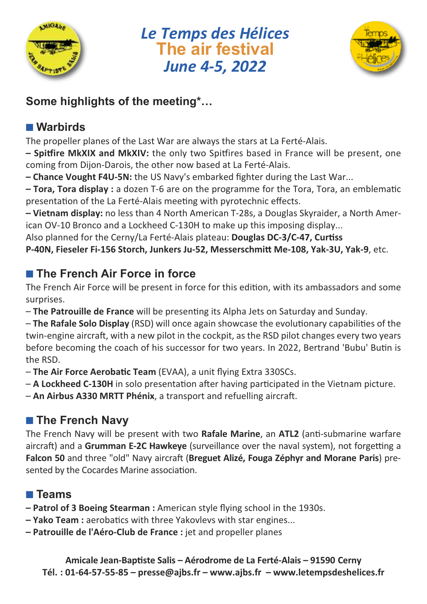

*Le Temps des Hélices* **The air festival** *June 4-5, 2022*



# **Some highlights of the meeting\*…**

## ■ **Warbirds**

The propeller planes of the Last War are always the stars at La Ferté-Alais.

**– Spitfire MkXIX and MkXIV:** the only two Spitfires based in France will be present, one coming from Dijon-Darois, the other now based at La Ferté-Alais.

**– Chance Vought F4U-5N:** the US Navy's embarked fighter during the Last War...

**– Tora, Tora display :** a dozen T-6 are on the programme for the Tora, Tora, an emblematic presentation of the La Ferté-Alais meeting with pyrotechnic effects.

**– Vietnam display:** no less than 4 North American T-28s, a Douglas Skyraider, a North American OV-10 Bronco and a Lockheed C-130H to make up this imposing display...

Also planned for the Cerny/La Ferté-Alais plateau: **Douglas DC-3/C-47, Curtiss**

**P-40N, Fieseler Fi-156 Storch, Junkers Ju-52, Messerschmitt Me-108, Yak-3U, Yak-9**, etc.

# ■ **The French Air Force in force**

The French Air Force will be present in force for this edition, with its ambassadors and some surprises.

– **The Patrouille de France** will be presenting its Alpha Jets on Saturday and Sunday.

– **The Rafale Solo Display** (RSD) will once again showcase the evolutionary capabilities of the twin-engine aircraft, with a new pilot in the cockpit, as the RSD pilot changes every two years before becoming the coach of his successor for two years. In 2022, Bertrand 'Bubu' Butin is the RSD.

– **The Air Force Aerobatic Team** (EVAA), a unit flying Extra 330SCs.

– **A Lockheed C-130H** in solo presentation after having participated in the Vietnam picture.

– **An Airbus A330 MRTT Phénix**, a transport and refuelling aircraft.

# ■ **The French Navy**

The French Navy will be present with two **Rafale Marine**, an **ATL2** (anti-submarine warfare aircraft) and a **Grumman E-2C Hawkeye** (surveillance over the naval system), not forgetting a **Falcon 50** and three "old" Navy aircraft (**Breguet Alizé, Fouga Zéphyr and Morane Paris**) presented by the Cocardes Marine association.

# ■ **Teams**

- **– Patrol of 3 Boeing Stearman :** American style flying school in the 1930s.
- **– Yako Team :** aerobatics with three Yakovlevs with star engines...
- **– Patrouille de l'Aéro-Club de France :** jet and propeller planes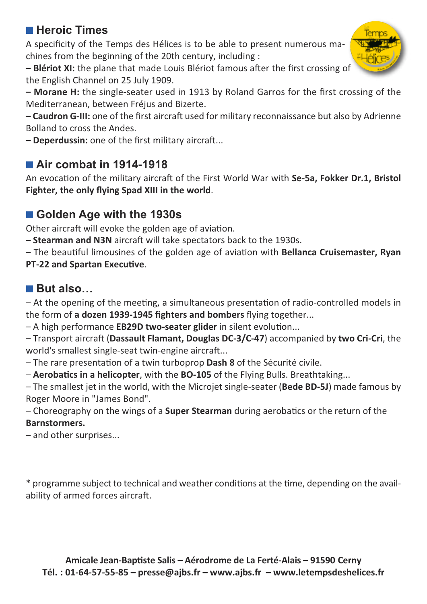#### ■ **Heroic Times**

A specificity of the Temps des Hélices is to be able to present numerous machines from the beginning of the 20th century, including :

**– Blériot XI:** the plane that made Louis Blériot famous after the first crossing of the English Channel on 25 July 1909.

**– Morane H:** the single-seater used in 1913 by Roland Garros for the first crossing of the Mediterranean, between Fréjus and Bizerte.

**– Caudron G-III:** one of the first aircraft used for military reconnaissance but also by Adrienne Bolland to cross the Andes.

**– Deperdussin:** one of the first military aircraft...

## ■ Air **combat** in 1914-1918

An evocation of the military aircraft of the First World War with **Se-5a, Fokker Dr.1, Bristol Fighter, the only flying Spad XIII in the world**.

#### ■ Golden Age with the 1930s

Other aircraft will evoke the golden age of aviation.

– **Stearman and N3N** aircraft will take spectators back to the 1930s.

– The beautiful limousines of the golden age of aviation with **Bellanca Cruisemaster, Ryan PT-22 and Spartan Executive**.

#### ■ **But also…**

– At the opening of the meeting, a simultaneous presentation of radio-controlled models in the form of **a dozen 1939-1945 fighters and bombers** flying together...

– A high performance **EB29D two-seater glider** in silent evolution...

– Transport aircraft (**Dassault Flamant, Douglas DC-3/C-47**) accompanied by **two Cri-Cri**, the world's smallest single-seat twin-engine aircraft...

– The rare presentation of a twin turboprop **Dash 8** of the Sécurité civile.

– **Aerobatics in a helicopter**, with the **BO-105** of the Flying Bulls. Breathtaking...

– The smallest jet in the world, with the Microjet single-seater (**Bede BD-5J**) made famous by Roger Moore in "James Bond".

– Choreography on the wings of a **Super Stearman** during aerobatics or the return of the **Barnstormers.**

– and other surprises...

\* programme subject to technical and weather conditions at the time, depending on the availability of armed forces aircraft.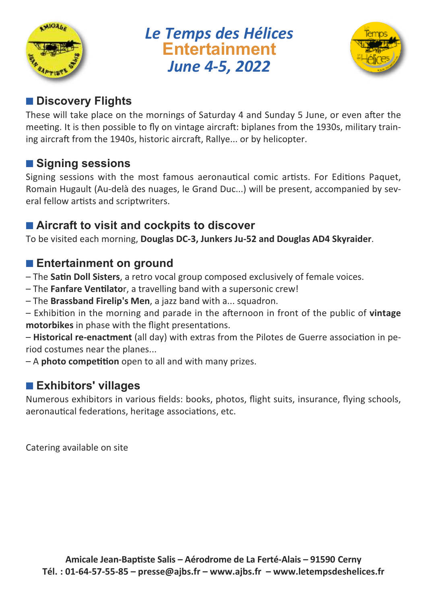

*Le Temps des Hélices* **Entertainment** *June 4-5, 2022*



#### ■ **Discovery** Flights

These will take place on the mornings of Saturday 4 and Sunday 5 June, or even after the meeting. It is then possible to fly on vintage aircraft: biplanes from the 1930s, military training aircraft from the 1940s, historic aircraft, Rallye... or by helicopter.

#### ■ **Signing** sessions

Signing sessions with the most famous aeronautical comic artists. For Editions Paquet, Romain Hugault (Au-delà des nuages, le Grand Duc...) will be present, accompanied by several fellow artists and scriptwriters.

#### ■ **Aircraft to visit and cockpits to discover**

To be visited each morning, **Douglas DC-3, Junkers Ju-52 and Douglas AD4 Skyraider**.

#### ■ **Entertainment** on ground

- The **Satin Doll Sisters**, a retro vocal group composed exclusively of female voices.
- The **Fanfare Ventilato**r, a travelling band with a supersonic crew!
- The **Brassband Firelip's Men**, a jazz band with a... squadron.

– Exhibition in the morning and parade in the afternoon in front of the public of **vintage motorbikes** in phase with the flight presentations.

– **Historical re-enactment** (all day) with extras from the Pilotes de Guerre association in period costumes near the planes...

– A **photo competition** open to all and with many prizes.

#### ■ **Exhibitors' villages**

Numerous exhibitors in various fields: books, photos, flight suits, insurance, flying schools, aeronautical federations, heritage associations, etc.

Catering available on site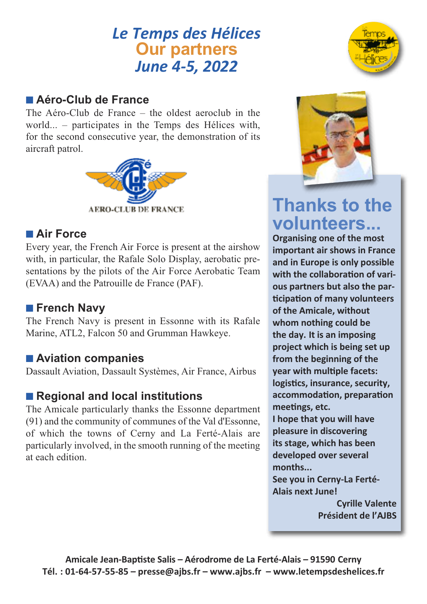# *Le Temps des Hélices* **Our partners** *June 4-5, 2022*

#### ■ **Aéro-Club de France**

The Aéro-Club de France – the oldest aeroclub in the world... – participates in the Temps des Hélices with, for the second consecutive year, the demonstration of its aircraft patrol.



#### ■ **Air Force**

Every year, the French Air Force is present at the airshow with, in particular, the Rafale Solo Display, aerobatic presentations by the pilots of the Air Force Aerobatic Team (EVAA) and the Patrouille de France (PAF).

#### ■ **French Navy**

The French Navy is present in Essonne with its Rafale Marine, ATL2, Falcon 50 and Grumman Hawkeye.

#### ■ **Aviation** companies

Dassault Aviation, Dassault Systèmes, Air France, Airbus

#### ■ **Regional** and **local** institutions

The Amicale particularly thanks the Essonne department (91) and the community of communes of the Val d'Essonne, of which the towns of Cerny and La Ferté-Alais are particularly involved, in the smooth running of the meeting at each edition.





# **Thanks to the volunteers... Organising one of the most**

**important air shows in France and in Europe is only possible with the collaboration of various partners but also the participation of many volunteers of the Amicale, without whom nothing could be the day. It is an imposing project which is being set up from the beginning of the year with multiple facets: logistics, insurance, security, accommodation, preparation meetings, etc. I hope that you will have pleasure in discovering its stage, which has been developed over several months... See you in Cerny-La Ferté-Alais next June!**

> **Cyrille Valente Président de l'AJBS**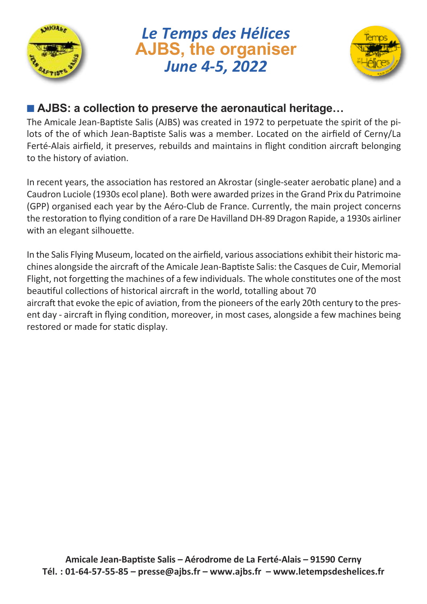

*Le Temps des Hélices* **AJBS, the organiser** *June 4-5, 2022*



#### ■ **AJBS:** a collection to preserve the aeronautical heritage...

The Amicale Jean-Baptiste Salis (AJBS) was created in 1972 to perpetuate the spirit of the pilots of the of which Jean-Baptiste Salis was a member. Located on the airfield of Cerny/La Ferté-Alais airfield, it preserves, rebuilds and maintains in flight condition aircraft belonging to the history of aviation.

In recent years, the association has restored an Akrostar (single-seater aerobatic plane) and a Caudron Luciole (1930s ecol plane). Both were awarded prizesin the Grand Prix du Patrimoine (GPP) organised each year by the Aéro-Club de France. Currently, the main project concerns the restoration to flying condition of a rare De Havilland DH-89 Dragon Rapide, a 1930s airliner with an elegant silhouette.

In the Salis Flying Museum, located on the airfield, various associations exhibit their historic machines alongside the aircraft of the Amicale Jean-Baptiste Salis: the Casques de Cuir, Memorial Flight, not forgetting the machines of a few individuals. The whole constitutes one of the most beautiful collections of historical aircraft in the world, totalling about 70 aircraft that evoke the epic of aviation, from the pioneers of the early 20th century to the present day - aircraft in flying condition, moreover, in most cases, alongside a few machines being restored or made for static display.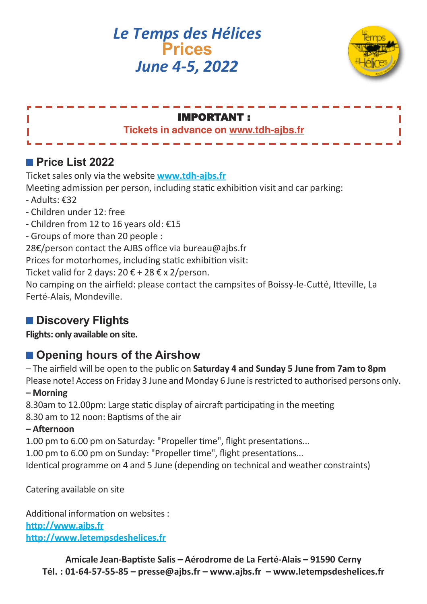*Le Temps des Hélices* **Prices** *June 4-5, 2022*



| <b>IMPORTANT:</b>                     |  |
|---------------------------------------|--|
| Tickets in advance on www.tdh-ajbs.fr |  |
|                                       |  |
|                                       |  |

#### ■ **Price List 2022**

Ticket sales only via the website **www.tdh-ajbs.fr**

Meeting admission per person, including static exhibition visit and car parking:

- Adults: €32
- Children under 12: free
- Children from 12 to 16 years old: €15
- Groups of more than 20 people :

28€/person contact the AJBS office via bureau@aibs.fr

Prices for motorhomes, including static exhibition visit:

Ticket valid for 2 days:  $20 \text{ } \epsilon$  + 28  $\epsilon$  x 2/person.

No camping on the airfield: please contact the campsites of Boissy-le-Cutté, Itteville, La Ferté-Alais, Mondeville.

# ■ **Discovery** Flights

**Flights: only available on site.**

# ■ **Opening** hours of the Airshow

– The airfield will be open to the public on **Saturday 4 and Sunday 5 June from 7am to 8pm**

Please note! Access on Friday 3 June and Monday 6 June is restricted to authorised persons only. **– Morning**

8.30am to 12.00pm: Large static display of aircraft participating in the meeting

8.30 am to 12 noon: Baptisms of the air

#### **– Afternoon**

1.00 pm to 6.00 pm on Saturday: "Propeller time", flight presentations...

1.00 pm to 6.00 pm on Sunday: "Propeller time", flight presentations...

Identical programme on 4 and 5 June (depending on technical and weather constraints)

Catering available on site

Additional information on websites : **http://www.ajbs.fr http://www.letempsdeshelices.fr**

> **Amicale Jean-Baptiste Salis – Aérodrome de La Ferté-Alais – 91590 Cerny Tél. : 01-64-57-55-85 – presse@ajbs.fr – www.ajbs.fr – www.letempsdeshelices.fr**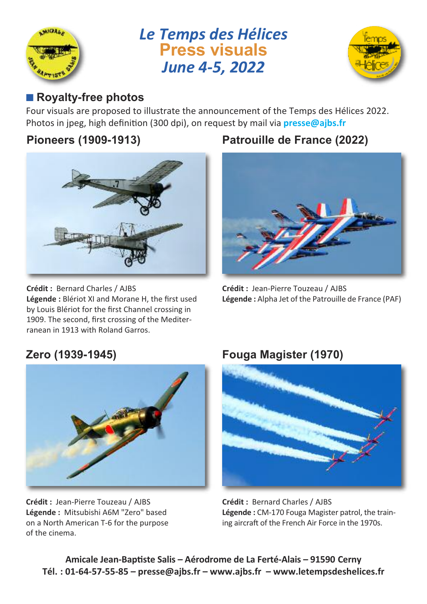

# *Le Temps des Hélices* **Press visuals** *June 4-5, 2022*



# ■ **Royalty-free photos**

Four visuals are proposed to illustrate the announcement of the Temps des Hélices 2022. Photos in jpeg, high definition (300 dpi), on request by mail via **presse@ajbs.fr**

#### **Pioneers (1909-1913)**



**Crédit :** Bernard Charles / AJBS **Légende :** Blériot XI and Morane H, the first used by Louis Blériot for the first Channel crossing in 1909. The second, first crossing of the Mediterranean in 1913 with Roland Garros.

# **Patrouille de France (2022)**



**Crédit :** Jean-Pierre Touzeau / AJBS **Légende :** Alpha Jet of the Patrouille de France (PAF)



**Crédit :** Jean-Pierre Touzeau / AJBS **Légende :** Mitsubishi A6M "Zero" based on a North American T-6 for the purpose of the cinema.

#### **Zero (1939-1945) Fouga Magister (1970)**



**Crédit :** Bernard Charles / AJBS **Légende :** CM-170 Fouga Magister patrol, the training aircraft of the French Air Force in the 1970s.

**Amicale Jean-Baptiste Salis – Aérodrome de La Ferté-Alais – 91590 Cerny Tél. : 01-64-57-55-85 – presse@ajbs.fr – www.ajbs.fr – www.letempsdeshelices.fr**